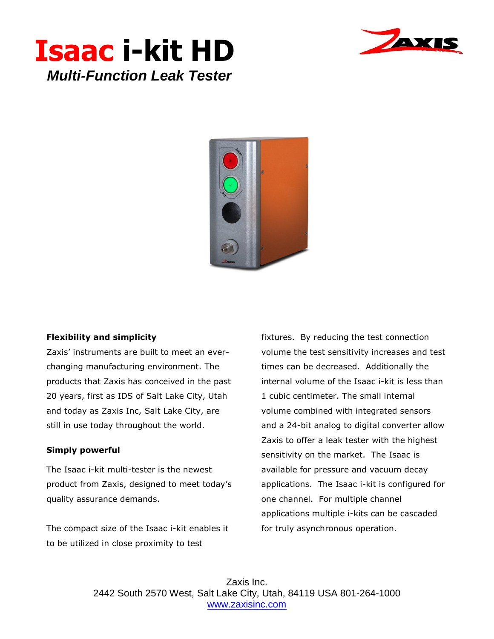





## **Flexibility and simplicity**

Zaxis' instruments are built to meet an everchanging manufacturing environment. The products that Zaxis has conceived in the past 20 years, first as IDS of Salt Lake City, Utah and today as Zaxis Inc, Salt Lake City, are still in use today throughout the world.

## **Simply powerful**

The Isaac i-kit multi-tester is the newest product from Zaxis, designed to meet today's quality assurance demands.

The compact size of the Isaac i-kit enables it to be utilized in close proximity to test

fixtures. By reducing the test connection volume the test sensitivity increases and test times can be decreased. Additionally the internal volume of the Isaac i-kit is less than 1 cubic centimeter. The small internal volume combined with integrated sensors and a 24-bit analog to digital converter allow Zaxis to offer a leak tester with the highest sensitivity on the market. The Isaac is available for pressure and vacuum decay applications. The Isaac i-kit is configured for one channel. For multiple channel applications multiple i-kits can be cascaded for truly asynchronous operation.

Zaxis Inc. 2442 South 2570 West, Salt Lake City, Utah, 84119 USA 801-264-1000 [www.zaxisinc.com](http://www.zaxisinc.com/)